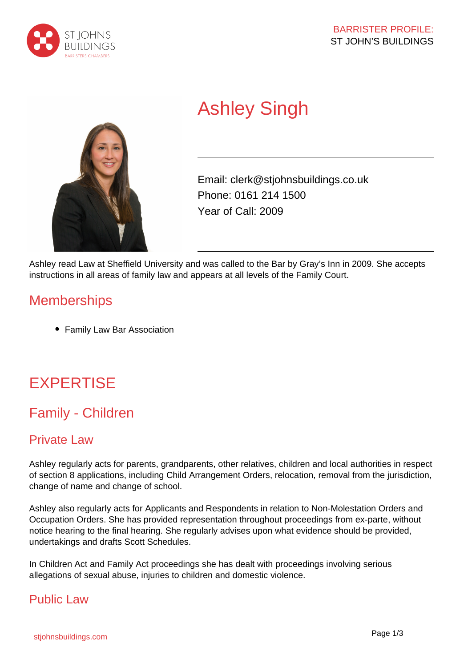



# Ashley Singh

Email: clerk@stjohnsbuildings.co.uk Phone: 0161 214 1500 Year of Call: 2009

Ashley read Law at Sheffield University and was called to the Bar by Gray's Inn in 2009. She accepts instructions in all areas of family law and appears at all levels of the Family Court.

## **Memberships**

Family Law Bar Association

## **EXPERTISE**

## Family - Children

## Private Law

Ashley regularly acts for parents, grandparents, other relatives, children and local authorities in respect of section 8 applications, including Child Arrangement Orders, relocation, removal from the jurisdiction, change of name and change of school.

Ashley also regularly acts for Applicants and Respondents in relation to Non-Molestation Orders and Occupation Orders. She has provided representation throughout proceedings from ex-parte, without notice hearing to the final hearing. She regularly advises upon what evidence should be provided, undertakings and drafts Scott Schedules.

In Children Act and Family Act proceedings she has dealt with proceedings involving serious allegations of sexual abuse, injuries to children and domestic violence.

### Public Law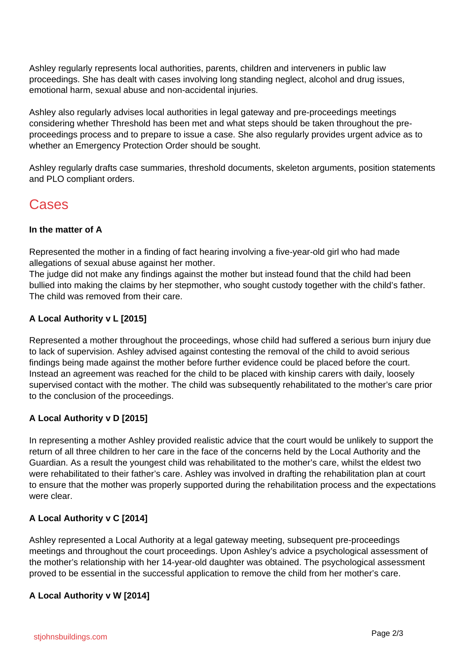Ashley regularly represents local authorities, parents, children and interveners in public law proceedings. She has dealt with cases involving long standing neglect, alcohol and drug issues, emotional harm, sexual abuse and non-accidental injuries.

Ashley also regularly advises local authorities in legal gateway and pre-proceedings meetings considering whether Threshold has been met and what steps should be taken throughout the preproceedings process and to prepare to issue a case. She also regularly provides urgent advice as to whether an Emergency Protection Order should be sought.

Ashley regularly drafts case summaries, threshold documents, skeleton arguments, position statements and PLO compliant orders.

## Cases

#### **In the matter of A**

Represented the mother in a finding of fact hearing involving a five-year-old girl who had made allegations of sexual abuse against her mother.

The judge did not make any findings against the mother but instead found that the child had been bullied into making the claims by her stepmother, who sought custody together with the child's father. The child was removed from their care.

#### **A Local Authority v L [2015]**

Represented a mother throughout the proceedings, whose child had suffered a serious burn injury due to lack of supervision. Ashley advised against contesting the removal of the child to avoid serious findings being made against the mother before further evidence could be placed before the court. Instead an agreement was reached for the child to be placed with kinship carers with daily, loosely supervised contact with the mother. The child was subsequently rehabilitated to the mother's care prior to the conclusion of the proceedings.

#### **A Local Authority v D [2015]**

In representing a mother Ashley provided realistic advice that the court would be unlikely to support the return of all three children to her care in the face of the concerns held by the Local Authority and the Guardian. As a result the youngest child was rehabilitated to the mother's care, whilst the eldest two were rehabilitated to their father's care. Ashley was involved in drafting the rehabilitation plan at court to ensure that the mother was properly supported during the rehabilitation process and the expectations were clear.

#### **A Local Authority v C [2014]**

Ashley represented a Local Authority at a legal gateway meeting, subsequent pre-proceedings meetings and throughout the court proceedings. Upon Ashley's advice a psychological assessment of the mother's relationship with her 14-year-old daughter was obtained. The psychological assessment proved to be essential in the successful application to remove the child from her mother's care.

#### **A Local Authority v W [2014]**